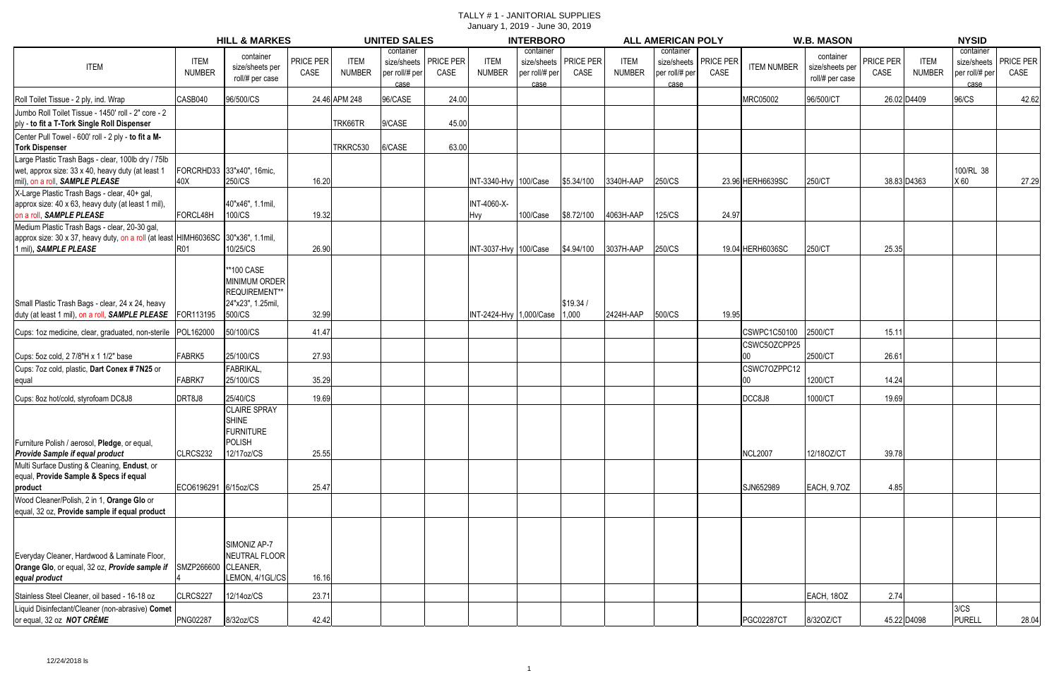|                                                                                    |                      | <b>HILL &amp; MARKES</b>  |           |               | <b>UNITED SALES</b> |                         |                         | <b>INTERBORO</b> |                         |                      | <b>ALL AMERICAN POLY</b> |                         |                    | <b>W.B. MASON</b> |           |               | <b>NYSID</b>   |           |
|------------------------------------------------------------------------------------|----------------------|---------------------------|-----------|---------------|---------------------|-------------------------|-------------------------|------------------|-------------------------|----------------------|--------------------------|-------------------------|--------------------|-------------------|-----------|---------------|----------------|-----------|
|                                                                                    |                      |                           |           |               | container           |                         |                         | container        |                         |                      | container                |                         |                    |                   |           |               | container      |           |
|                                                                                    | <b>ITEM</b>          | container                 | PRICE PER | <b>ITEM</b>   |                     | size/sheets   PRICE PER | <b>ITEM</b>             |                  | size/sheets   PRICE PER | <b>ITEM</b>          |                          | size/sheets   PRICE PER |                    | container         | PRICE PER | <b>ITEM</b>   | size/sheets    | PRICE PER |
| <b>ITEM</b>                                                                        | <b>NUMBER</b>        | size/sheets per           | CASE      | <b>NUMBER</b> | per roll/# per      | CASE                    | <b>NUMBER</b>           | per roll/# per   | CASE                    | <b>NUMBER</b>        | per roll/# per           | CASE                    | <b>ITEM NUMBER</b> | size/sheets per   | CASE      | <b>NUMBER</b> | per roll/# per | CASE      |
|                                                                                    |                      | roll/# per case           |           |               | case                |                         |                         | case             |                         |                      | case                     |                         |                    | roll/# per case   |           |               | case           |           |
| Roll Toilet Tissue - 2 ply, ind. Wrap                                              | CASB040              | 96/500/CS                 |           | 24.46 APM 248 | 96/CASE             | 24.00                   |                         |                  |                         |                      |                          |                         | <b>MRC05002</b>    | 96/500/CT         |           | 26.02 D4409   | 96/CS          | 42.62     |
| Jumbo Roll Toilet Tissue - 1450' roll - 2" core - 2                                |                      |                           |           |               |                     |                         |                         |                  |                         |                      |                          |                         |                    |                   |           |               |                |           |
| ply - to fit a T-Tork Single Roll Dispenser                                        |                      |                           |           | TRK66TR       | 9/CASE              | 45.00                   |                         |                  |                         |                      |                          |                         |                    |                   |           |               |                |           |
| Center Pull Towel - 600' roll - 2 ply - to fit a M-                                |                      |                           |           |               |                     |                         |                         |                  |                         |                      |                          |                         |                    |                   |           |               |                |           |
| <b>Tork Dispenser</b>                                                              |                      |                           |           | TRKRC530      | 6/CASE              | 63.00                   |                         |                  |                         |                      |                          |                         |                    |                   |           |               |                |           |
| Large Plastic Trash Bags - clear, 100lb dry / 75lb                                 |                      |                           |           |               |                     |                         |                         |                  |                         |                      |                          |                         |                    |                   |           |               |                |           |
| wet, approx size: 33 x 40, heavy duty (at least 1                                  |                      | FORCRHD33 33"x40", 16mic, |           |               |                     |                         |                         |                  |                         |                      |                          |                         |                    |                   |           |               | 100/RL 38      |           |
| mil), on a roll, SAMPLE PLEASE                                                     | 40X                  | 250/CS                    | 16.20     |               |                     |                         | INT-3340-Hvy 100/Case   |                  |                         | \$5.34/100 3340H-AAP | 250/CS                   |                         | 23.96 HERH6639SC   | 250/CT            |           | 38.83 D4363   | X 60           | 27.29     |
| X-Large Plastic Trash Bags - clear, 40+ gal,                                       |                      |                           |           |               |                     |                         |                         |                  |                         |                      |                          |                         |                    |                   |           |               |                |           |
| approx size: 40 x 63, heavy duty (at least 1 mil),                                 |                      | 40"x46", 1.1mil,          |           |               |                     |                         | <b>INT-4060-X-</b>      |                  |                         |                      |                          |                         |                    |                   |           |               |                |           |
| on a roll, SAMPLE PLEASE                                                           | FORCL48H             | 100/CS                    | 19.32     |               |                     |                         | <b>Hvy</b>              | 100/Case         |                         | \$8.72/100 4063H-AAP | 125/CS                   | 24.97                   |                    |                   |           |               |                |           |
| Medium Plastic Trash Bags - clear, 20-30 gal,                                      |                      |                           |           |               |                     |                         |                         |                  |                         |                      |                          |                         |                    |                   |           |               |                |           |
| approx size: 30 x 37, heavy duty, on a roll (at least HIMH6036SC 130"x36", 1.1mil, |                      |                           |           |               |                     |                         |                         |                  |                         |                      |                          |                         |                    |                   |           |               |                |           |
| 1 mil), SAMPLE PLEASE                                                              | <b>R01</b>           | 10/25/CS                  | 26.90     |               |                     |                         | INT-3037-Hvy 100/Case   |                  |                         | \$4.94/100 3037H-AAP | 250/CS                   |                         | 19.04 HERH6036SC   | 250/CT            | 25.35     |               |                |           |
|                                                                                    |                      |                           |           |               |                     |                         |                         |                  |                         |                      |                          |                         |                    |                   |           |               |                |           |
|                                                                                    |                      | **100 CASE                |           |               |                     |                         |                         |                  |                         |                      |                          |                         |                    |                   |           |               |                |           |
|                                                                                    |                      | <b>MINIMUM ORDER</b>      |           |               |                     |                         |                         |                  |                         |                      |                          |                         |                    |                   |           |               |                |           |
|                                                                                    |                      | REQUIREMENT**             |           |               |                     |                         |                         |                  |                         |                      |                          |                         |                    |                   |           |               |                |           |
| Small Plastic Trash Bags - clear, 24 x 24, heavy                                   |                      | 24"x23", 1.25mil,         |           |               |                     |                         |                         |                  | \$19.34/                |                      |                          |                         |                    |                   |           |               |                |           |
| duty (at least 1 mil), on a roll, SAMPLE PLEASE FOR113195                          |                      | 500/CS                    | 32.99     |               |                     |                         | INT-2424-Hvy 1,000/Case |                  | 1,000                   | 2424H-AAP            | 500/CS                   | 19.95                   |                    |                   |           |               |                |           |
| Cups: 1oz medicine, clear, graduated, non-sterile POL162000                        |                      | 50/100/CS                 | 41.47     |               |                     |                         |                         |                  |                         |                      |                          |                         | CSWPC1C50100       | 2500/CT           | 15.11     |               |                |           |
|                                                                                    |                      |                           |           |               |                     |                         |                         |                  |                         |                      |                          |                         | CSWC5OZCPP25       |                   |           |               |                |           |
| Cups: 5oz cold, 2 7/8"H x 1 1/2" base                                              | FABRK5               | 25/100/CS                 | 27.93     |               |                     |                         |                         |                  |                         |                      |                          |                         | 00                 | 2500/CT           | 26.61     |               |                |           |
|                                                                                    |                      |                           |           |               |                     |                         |                         |                  |                         |                      |                          |                         |                    |                   |           |               |                |           |
| Cups: 7oz cold, plastic, Dart Conex #7N25 or                                       |                      | <b>FABRIKAL</b>           |           |               |                     |                         |                         |                  |                         |                      |                          |                         | CSWC7OZPPC12       |                   |           |               |                |           |
| equal                                                                              | FABRK7               | 25/100/CS                 | 35.29     |               |                     |                         |                         |                  |                         |                      |                          |                         | I00                | 1200/CT           | 14.24     |               |                |           |
| Cups: 8oz hot/cold, styrofoam DC8J8                                                | DRT8J8               | 25/40/CS                  | 19.69     |               |                     |                         |                         |                  |                         |                      |                          |                         | DCC8J8             | 1000/CT           | 19.69     |               |                |           |
|                                                                                    |                      | <b>CLAIRE SPRAY</b>       |           |               |                     |                         |                         |                  |                         |                      |                          |                         |                    |                   |           |               |                |           |
|                                                                                    |                      | <b>SHINE</b>              |           |               |                     |                         |                         |                  |                         |                      |                          |                         |                    |                   |           |               |                |           |
|                                                                                    |                      | <b>FURNITURE</b>          |           |               |                     |                         |                         |                  |                         |                      |                          |                         |                    |                   |           |               |                |           |
| Furniture Polish / aerosol, Pledge, or equal                                       |                      | <b>POLISH</b>             |           |               |                     |                         |                         |                  |                         |                      |                          |                         |                    |                   |           |               |                |           |
| Provide Sample if equal product                                                    | CLRCS232             | 12/17oz/CS                | 25.55     |               |                     |                         |                         |                  |                         |                      |                          |                         | <b>NCL2007</b>     | 12/18OZ/CT        | 39.78     |               |                |           |
| Multi Surface Dusting & Cleaning, Endust, or                                       |                      |                           |           |               |                     |                         |                         |                  |                         |                      |                          |                         |                    |                   |           |               |                |           |
| equal, Provide Sample & Specs if equal                                             |                      |                           |           |               |                     |                         |                         |                  |                         |                      |                          |                         |                    |                   |           |               |                |           |
| product                                                                            | ECO6196291 6/15oz/CS |                           | 25.47     |               |                     |                         |                         |                  |                         |                      |                          |                         | SJN652989          | EACH, 9.70Z       | 4.85      |               |                |           |
| Wood Cleaner/Polish, 2 in 1, Orange Glo or                                         |                      |                           |           |               |                     |                         |                         |                  |                         |                      |                          |                         |                    |                   |           |               |                |           |
| equal, 32 oz, Provide sample if equal product                                      |                      |                           |           |               |                     |                         |                         |                  |                         |                      |                          |                         |                    |                   |           |               |                |           |
|                                                                                    |                      |                           |           |               |                     |                         |                         |                  |                         |                      |                          |                         |                    |                   |           |               |                |           |
|                                                                                    |                      |                           |           |               |                     |                         |                         |                  |                         |                      |                          |                         |                    |                   |           |               |                |           |
|                                                                                    |                      | SIMONIZ AP-7              |           |               |                     |                         |                         |                  |                         |                      |                          |                         |                    |                   |           |               |                |           |
| Everyday Cleaner, Hardwood & Laminate Floor,                                       |                      | NEUTRAL FLOOR             |           |               |                     |                         |                         |                  |                         |                      |                          |                         |                    |                   |           |               |                |           |
| Orange Glo, or equal, 32 oz, Provide sample if                                     | SMZP266600 CLEANER,  |                           |           |               |                     |                         |                         |                  |                         |                      |                          |                         |                    |                   |           |               |                |           |
| equal product                                                                      |                      | LEMON, 4/1GL/CS           | 16.16     |               |                     |                         |                         |                  |                         |                      |                          |                         |                    |                   |           |               |                |           |
|                                                                                    |                      |                           |           |               |                     |                         |                         |                  |                         |                      |                          |                         |                    |                   |           |               |                |           |
| Stainless Steel Cleaner, oil based - 16-18 oz                                      | CLRCS227             | 12/14oz/CS                | 23.71     |               |                     |                         |                         |                  |                         |                      |                          |                         |                    | EACH, 18OZ        | 2.74      |               |                |           |
| Liquid Disinfectant/Cleaner (non-abrasive) Comet                                   |                      |                           |           |               |                     |                         |                         |                  |                         |                      |                          |                         |                    |                   |           |               | 3/CS           |           |
| or equal, 32 oz NOT CRÈME                                                          | <b>PNG02287</b>      | 8/32oz/CS                 | 42.42     |               |                     |                         |                         |                  |                         |                      |                          |                         | <b>PGC02287CT</b>  | 8/320Z/CT         |           | 45.22 D4098   | PURELL         | 28.04     |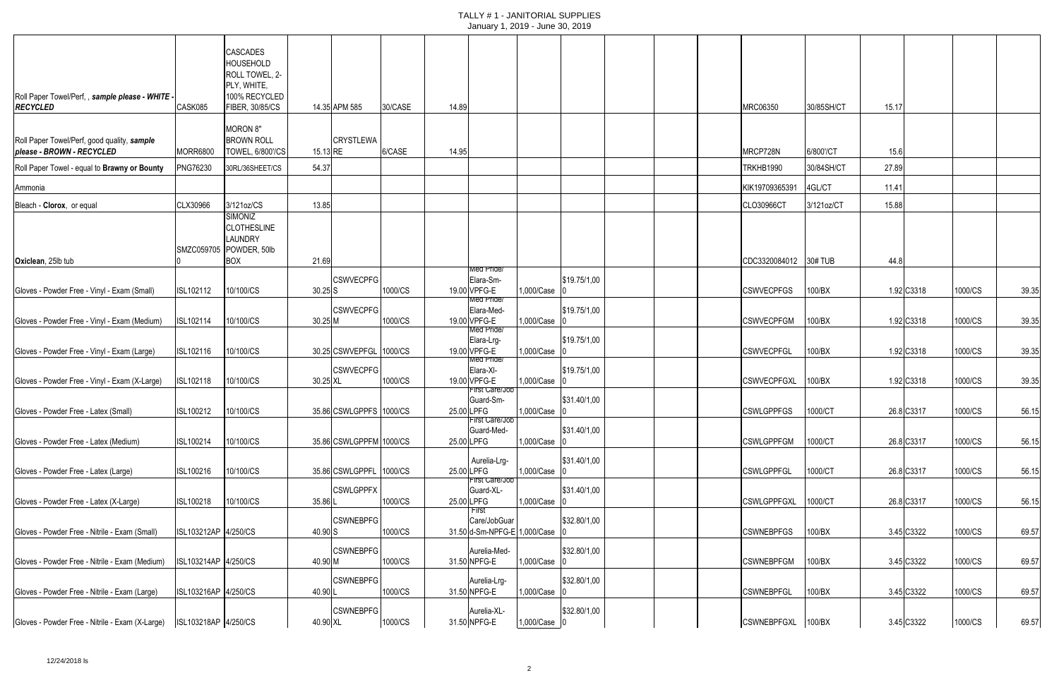|                                                                          |                      |                                                                                                          |            |                         |         |       | January 1, 2019 - June 30, 2019                                  |              |              |                       |            |       |            |         |       |
|--------------------------------------------------------------------------|----------------------|----------------------------------------------------------------------------------------------------------|------------|-------------------------|---------|-------|------------------------------------------------------------------|--------------|--------------|-----------------------|------------|-------|------------|---------|-------|
| Roll Paper Towel/Perf,, sample please - WHITE -<br><b>RECYCLED</b>       | CASK085              | <b>CASCADES</b><br><b>HOUSEHOLD</b><br>ROLL TOWEL, 2-<br>PLY, WHITE,<br>100% RECYCLED<br>FIBER, 30/85/CS |            | 14.35 APM 585           | 30/CASE | 14.89 |                                                                  |              |              | MRC06350              | 30/85SH/CT | 15.17 |            |         |       |
| Roll Paper Towel/Perf, good quality, sample<br>please - BROWN - RECYCLED | MORR6800             | <b>MORON 8"</b><br><b>BROWN ROLL</b><br><b>TOWEL, 6/800'/CS</b>                                          | 15.13 RE   | <b>CRYSTLEWA</b>        | 6/CASE  | 14.95 |                                                                  |              |              | MRCP728N              | 6/800'/CT  | 15.6  |            |         |       |
| Roll Paper Towel - equal to Brawny or Bounty                             | <b>PNG76230</b>      | 30RL/36SHEET/CS                                                                                          | 54.37      |                         |         |       |                                                                  |              |              | TRKHB1990             | 30/84SH/CT | 27.89 |            |         |       |
| Ammonia                                                                  |                      |                                                                                                          |            |                         |         |       |                                                                  |              |              | KIK19709365391        | 4GL/CT     | 11.41 |            |         |       |
| Bleach - Clorox, or equal                                                | CLX30966             | 3/121oz/CS<br>SIMONIZ<br><b>CLOTHESLINE</b><br><b>LAUNDRY</b><br>SMZC059705 POWDER, 50lb                 | 13.85      |                         |         |       |                                                                  |              |              | CLO30966CT            | 3/121oz/CT | 15.88 |            |         |       |
| Oxiclean, 25lb tub                                                       |                      | <b>BOX</b>                                                                                               | 21.69      |                         |         |       | Med Pride/                                                       |              |              | CDC3320084012 30# TUB |            | 44.8  |            |         |       |
| Gloves - Powder Free - Vinyl - Exam (Small)                              | ISL102112            | 10/100/CS                                                                                                | $30.25$ S  | <b>CSWVECPFG</b>        | 1000/CS |       | Elara-Sm-<br>19.00 VPFG-E<br>Med Pride/                          | 1,000/Case 0 | \$19.75/1,00 | <b>CSWVECPFGS</b>     | 100/BX     |       | 1.92 C3318 | 1000/CS | 39.35 |
| Gloves - Powder Free - Vinyl - Exam (Medium)                             | ISL102114            | 10/100/CS                                                                                                | $30.25$ M  | <b>CSWVECPFG</b>        | 1000/CS |       | Elara-Med-<br>19.00 VPFG-E                                       | 1,000/Case C | \$19.75/1,00 | <b>CSWVECPFGM</b>     | 100/BX     |       | 1.92 C3318 | 1000/CS | 39.35 |
| Gloves - Powder Free - Vinyl - Exam (Large)                              | ISL102116            | 10/100/CS                                                                                                |            | 30.25 CSWVEPFGL 1000/CS |         |       | Med Pride/<br>Elara-Lrg-<br>19.00 VPFG-E                         | 1,000/Case 0 | \$19.75/1,00 | <b>CSWVECPFGL</b>     | 100/BX     |       | 1.92 C3318 | 1000/CS | 39.35 |
| Gloves - Powder Free - Vinyl - Exam (X-Large)                            | <b>ISL102118</b>     | 10/100/CS                                                                                                | 30.25 XL   | <b>CSWVECPFG</b>        | 1000/CS |       | Med Pride/<br>Elara-XI-<br>19.00 VPFG-E<br><b>First Care/Job</b> | 1,000/Case 0 | \$19.75/1,00 | <b>CSWVECPFGXL</b>    | 100/BX     |       | 1.92 C3318 | 1000/CS | 39.35 |
| Gloves - Powder Free - Latex (Small)                                     | ISL100212 10/100/CS  |                                                                                                          |            | 35.86 CSWLGPPFS 1000/CS |         |       | Guard-Sm-<br>25.00 LPFG<br>First Care/Job                        | 1,000/Case 0 | \$31.40/1,00 | CSWLGPPFGS 1000/CT    |            |       | 26.8 C3317 | 1000/CS | 56.15 |
| Gloves - Powder Free - Latex (Medium)                                    | ISL100214            | 10/100/CS                                                                                                |            | 35.86 CSWLGPPFM 1000/CS |         |       | Guard-Med-<br>25.00 LPFG                                         | 1,000/Case 0 | \$31.40/1,00 | <b>CSWLGPPFGM</b>     | 1000/CT    |       | 26.8 C3317 | 1000/CS | 56.15 |
| Gloves - Powder Free - Latex (Large)                                     | ISL100216            | 10/100/CS                                                                                                |            | 35.86 CSWLGPPFL 1000/CS |         |       | Aurelia-Lrg-<br>25.00 LPFG<br><b>First Care/Job</b>              | 1,000/Case 0 | \$31.40/1,00 | <b>CSWLGPPFGL</b>     | 1000/CT    |       | 26.8 C3317 | 1000/CS | 56.15 |
| Gloves - Powder Free - Latex (X-Large)                                   | ISL100218            | 10/100/CS                                                                                                | 35.86L     | <b>CSWLGPPFX</b>        | 1000/CS |       | Guard-XL-<br>25.00 LPFG                                          | 1,000/Case 0 | \$31.40/1,00 | <b>CSWLGPPFGXL</b>    | 1000/CT    |       | 26.8 C3317 | 1000/CS | 56.15 |
| Gloves - Powder Free - Nitrile - Exam (Small)                            | ISL103212AP 4/250/CS |                                                                                                          | 40.90 S    | <b>CSWNEBPFG</b>        | 1000/CS |       | <b>First</b><br>Care/JobGuar<br>31.50 d-Sm-NPFG-E 1,000/Case     |              | \$32.80/1,00 | <b>CSWNEBPFGS</b>     | 100/BX     |       | 3.45 C3322 | 1000/CS | 69.57 |
| Gloves - Powder Free - Nitrile - Exam (Medium)                           | ISL103214AP 4/250/CS |                                                                                                          | 40.90 M    | <b>CSWNEBPFG</b>        | 1000/CS |       | Aurelia-Med-<br>31.50 NPFG-E                                     | 1,000/Case 0 | \$32.80/1,00 | <b>CSWNEBPFGM</b>     | 100/BX     |       | 3.45 C3322 | 1000/CS | 69.57 |
| Gloves - Powder Free - Nitrile - Exam (Large)                            | ISL103216AP 4/250/CS |                                                                                                          | 40.90 L    | <b>CSWNEBPFG</b>        | 1000/CS |       | Aurelia-Lrg-<br>31.50 NPFG-E                                     | 1,000/Case 0 | \$32.80/1,00 | <b>CSWNEBPFGL</b>     | 100/BX     |       | 3.45 C3322 | 1000/CS | 69.57 |
| Gloves - Powder Free - Nitrile - Exam (X-Large)                          | ISL103218AP 4/250/CS |                                                                                                          | $40.90$ XL | <b>CSWNEBPFG</b>        | 1000/CS |       | Aurelia-XL-<br>31.50 NPFG-E                                      | 1,000/Case 0 | \$32.80/1,00 | CSWNEBPFGXL 100/BX    |            |       | 3.45 C3322 | 1000/CS | 69.57 |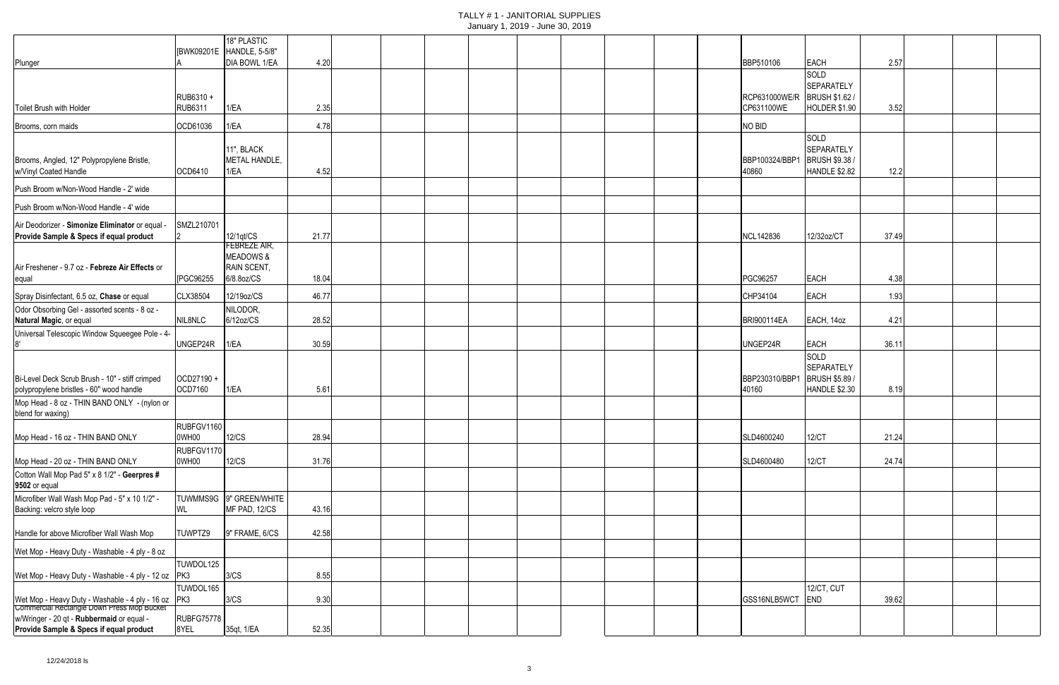|                                                                                               |                      |                                                   |       |  | $58.1801$ , $7.5010$ $58.10$ $59.50$ |  |  |                         |                                                                    |       |  |  |
|-----------------------------------------------------------------------------------------------|----------------------|---------------------------------------------------|-------|--|--------------------------------------|--|--|-------------------------|--------------------------------------------------------------------|-------|--|--|
|                                                                                               |                      | 18" PLASTIC<br>[BWK09201E HANDLE, 5-5/8"          |       |  |                                      |  |  |                         |                                                                    |       |  |  |
| Plunger                                                                                       |                      | DIA BOWL 1/EA                                     | 4.20  |  |                                      |  |  | BBP510106               | <b>EACH</b>                                                        | 2.57  |  |  |
|                                                                                               |                      |                                                   |       |  |                                      |  |  |                         | SOLD<br><b>SEPARATELY</b>                                          |       |  |  |
|                                                                                               | RUB6310+             |                                                   |       |  |                                      |  |  | RCP631000WE/R           | <b>BRUSH \$1.62/</b>                                               |       |  |  |
| Toilet Brush with Holder                                                                      | <b>RUB6311</b>       | 1/EA                                              | 2.35  |  |                                      |  |  | CP631100WE              | <b>HOLDER \$1.90</b>                                               | 3.52  |  |  |
| Brooms, corn maids                                                                            | OCD61036             | 1/EA                                              | 4.78  |  |                                      |  |  | NO BID                  |                                                                    |       |  |  |
| Brooms, Angled, 12" Polypropylene Bristle,<br>w/Vinyl Coated Handle                           | OCD6410              | 11", BLACK<br>METAL HANDLE,<br>1/EA               | 4.52  |  |                                      |  |  | BBP100324/BBP1<br>40860 | SOLD<br><b>SEPARATELY</b><br><b>BRUSH \$9.38/</b><br>HANDLE \$2.82 | 12.2  |  |  |
| Push Broom w/Non-Wood Handle - 2' wide                                                        |                      |                                                   |       |  |                                      |  |  |                         |                                                                    |       |  |  |
| Push Broom w/Non-Wood Handle - 4' wide                                                        |                      |                                                   |       |  |                                      |  |  |                         |                                                                    |       |  |  |
| Air Deodorizer - Simonize Eliminator or equal -                                               | SMZL210701           |                                                   |       |  |                                      |  |  |                         |                                                                    |       |  |  |
| Provide Sample & Specs if equal product                                                       |                      | 12/1qt/CS<br>FEBREZE AIR,                         | 21.77 |  |                                      |  |  | NCL142836               | 12/32oz/CT                                                         | 37.49 |  |  |
| Air Freshener - 9.7 oz - Febreze Air Effects or                                               | [PGC96255]           | <b>MEADOWS &amp;</b><br>RAIN SCENT,<br>6/8.8oz/CS | 18.04 |  |                                      |  |  | PGC96257                | <b>EACH</b>                                                        | 4.38  |  |  |
| equal                                                                                         |                      |                                                   |       |  |                                      |  |  |                         |                                                                    |       |  |  |
| Spray Disinfectant, 6.5 oz, Chase or equal<br>Odor Obsorbing Gel - assorted scents - 8 oz -   | CLX38504             | 12/19oz/CS<br>NILODOR,                            | 46.77 |  |                                      |  |  | CHP34104                | <b>EACH</b>                                                        | 1.93  |  |  |
| Natural Magic, or equal                                                                       | NIL8NLC              | 6/12oz/CS                                         | 28.52 |  |                                      |  |  | <b>BRI900114EA</b>      | EACH, 14oz                                                         | 4.21  |  |  |
| Universal Telescopic Window Squeegee Pole - 4-                                                |                      |                                                   |       |  |                                      |  |  |                         |                                                                    |       |  |  |
|                                                                                               | UNGEP24R             | 1/EA                                              | 30.59 |  |                                      |  |  | UNGEP24R                | <b>EACH</b><br><b>SOLD</b>                                         | 36.11 |  |  |
| Bi-Level Deck Scrub Brush - 10" - stiff crimped                                               | OCD27190+<br>OCD7160 | 1/EA                                              |       |  |                                      |  |  | BBP230310/BBP1<br>40160 | <b>SEPARATELY</b><br><b>BRUSH \$5.89/</b><br><b>HANDLE \$2.30</b>  |       |  |  |
| polypropylene bristles - 60" wood handle<br>Mop Head - 8 oz - THIN BAND ONLY - (nylon or      |                      |                                                   | 5.61  |  |                                      |  |  |                         |                                                                    | 8.19  |  |  |
| blend for waxing)                                                                             |                      |                                                   |       |  |                                      |  |  |                         |                                                                    |       |  |  |
|                                                                                               | RUBFGV1160           |                                                   |       |  |                                      |  |  |                         |                                                                    |       |  |  |
| Mop Head - 16 oz - THIN BAND ONLY                                                             | 0WH00                | 12/CS                                             | 28.94 |  |                                      |  |  | SLD4600240              | 12/CT                                                              | 21.24 |  |  |
| Mop Head - 20 oz - THIN BAND ONLY                                                             | RUBFGV1170<br>0WH00  | 12/CS                                             | 31.76 |  |                                      |  |  | SLD4600480              | 12/CT                                                              | 24.74 |  |  |
| Cotton Wall Mop Pad 5" x 8 1/2" - Geerpres #<br>9502 or equal                                 |                      |                                                   |       |  |                                      |  |  |                         |                                                                    |       |  |  |
| Microfiber Wall Wash Mop Pad - 5" x 10 1/2" -                                                 |                      | TUWMMS9G 9" GREEN/WHITE                           |       |  |                                      |  |  |                         |                                                                    |       |  |  |
| Backing: velcro style loop                                                                    | WL                   | MF PAD, 12/CS                                     | 43.16 |  |                                      |  |  |                         |                                                                    |       |  |  |
| Handle for above Microfiber Wall Wash Mop                                                     | TUWPTZ9              | 9" FRAME, 6/CS                                    | 42.58 |  |                                      |  |  |                         |                                                                    |       |  |  |
| Wet Mop - Heavy Duty - Washable - 4 ply - 8 oz                                                |                      |                                                   |       |  |                                      |  |  |                         |                                                                    |       |  |  |
| Wet Mop - Heavy Duty - Washable - 4 ply - 12 oz                                               | TUWDOL125<br>PK3     | 3/CS                                              | 8.55  |  |                                      |  |  |                         |                                                                    |       |  |  |
|                                                                                               | TUWDOL165            |                                                   |       |  |                                      |  |  |                         | 12/CT, CUT                                                         |       |  |  |
| Wet Mop - Heavy Duty - Washable - 4 ply - 16 oz<br>Commercial Rectangle Down Press Mop Bucket | PK3                  | 3/CS                                              | 9.30  |  |                                      |  |  | GSS16NLB5WCT            | END                                                                | 39.62 |  |  |
| w/Wringer - 20 qt - Rubbermaid or equal -                                                     | RUBFG75778           |                                                   |       |  |                                      |  |  |                         |                                                                    |       |  |  |
| Provide Sample & Specs if equal product                                                       | 8YEL                 | 35qt, 1/EA                                        | 52.35 |  |                                      |  |  |                         |                                                                    |       |  |  |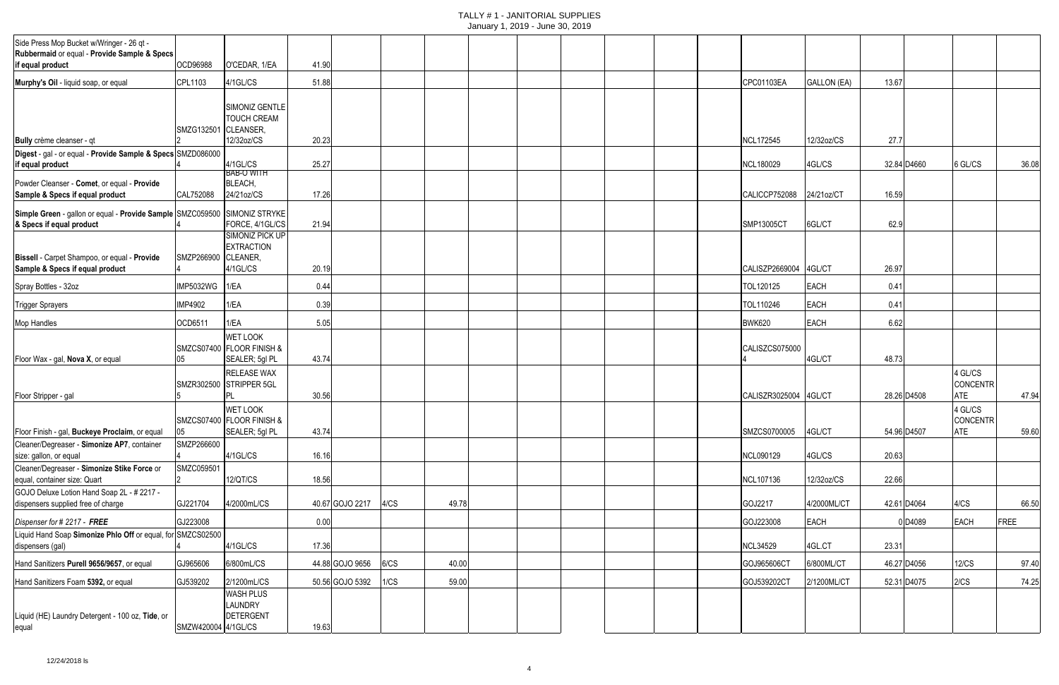|                                                                                                               |                      |                                                                |       |                 |      |       | $\frac{1}{2}$ |  |  |                 |                    |       |                     |                                   |       |
|---------------------------------------------------------------------------------------------------------------|----------------------|----------------------------------------------------------------|-------|-----------------|------|-------|---------------|--|--|-----------------|--------------------|-------|---------------------|-----------------------------------|-------|
| Side Press Mop Bucket w/Wringer - 26 qt -<br>Rubbermaid or equal - Provide Sample & Specs<br>if equal product | OCD96988             | O'CEDAR, 1/EA                                                  | 41.90 |                 |      |       |               |  |  |                 |                    |       |                     |                                   |       |
| Murphy's Oil - liquid soap, or equal                                                                          | CPL1103              | 4/1GL/CS                                                       | 51.88 |                 |      |       |               |  |  | CPC01103EA      | <b>GALLON (EA)</b> | 13.67 |                     |                                   |       |
|                                                                                                               |                      |                                                                |       |                 |      |       |               |  |  |                 |                    |       |                     |                                   |       |
| Bully crème cleanser - qt                                                                                     | SMZG132501 CLEANSER, | SIMONIZ GENTLE<br><b>TOUCH CREAM</b><br>12/32oz/CS             | 20.23 |                 |      |       |               |  |  | NCL172545       | 12/32oz/CS         | 27.7  |                     |                                   |       |
| Digest - gal - or equal - Provide Sample & Specs SMZD086000                                                   |                      |                                                                |       |                 |      |       |               |  |  |                 |                    |       |                     |                                   |       |
| if equal product                                                                                              |                      | 4/1GL/CS<br><b>BAB-O WITH</b>                                  | 25.27 |                 |      |       |               |  |  | NCL180029       | 4GL/CS             |       | 32.84 D4660         | 6 GL/CS                           | 36.08 |
| Powder Cleanser - Comet, or equal - Provide<br>Sample & Specs if equal product                                | CAL752088            | BLEACH,<br>24/21oz/CS                                          | 17.26 |                 |      |       |               |  |  | CALICCP752088   | 24/21oz/CT         | 16.59 |                     |                                   |       |
| Simple Green - gallon or equal - Provide Sample SMZC059500 SIMONIZ STRYKE<br>& Specs if equal product         |                      | FORCE, 4/1GL/CS                                                | 21.94 |                 |      |       |               |  |  | SMP13005CT      | 6GL/CT             | 62.9  |                     |                                   |       |
| Bissell - Carpet Shampoo, or equal - Provide<br>Sample & Specs if equal product                               | SMZP266900 CLEANER,  | <b>SIMONIZ PICK UP</b><br><b>EXTRACTION</b><br>4/1GL/CS        | 20.19 |                 |      |       |               |  |  | CALISZP2669004  | 4GL/CT             | 26.97 |                     |                                   |       |
| Spray Bottles - 32oz                                                                                          | <b>IMP5032WG</b>     | 1/EA                                                           | 0.44  |                 |      |       |               |  |  | TOL120125       | <b>EACH</b>        | 0.41  |                     |                                   |       |
| <b>Trigger Sprayers</b>                                                                                       | <b>IMP4902</b>       | 1/EA                                                           | 0.39  |                 |      |       |               |  |  | TOL110246       | <b>EACH</b>        | 0.41  |                     |                                   |       |
| Mop Handles                                                                                                   | OCD6511              | 1/EA                                                           | 5.05  |                 |      |       |               |  |  | <b>BWK620</b>   | <b>EACH</b>        | 6.62  |                     |                                   |       |
| Floor Wax - gal, Nova X, or equal                                                                             | 05                   | <b>WET LOOK</b><br>SMZCS07400 FLOOR FINISH &<br>SEALER; 5gl PL | 43.74 |                 |      |       |               |  |  | CALISZCS075000  | 4GL/CT             | 48.73 |                     |                                   |       |
| Floor Stripper - gal                                                                                          |                      | <b>RELEASE WAX</b><br>SMZR302500 STRIPPER 5GL                  | 30.56 |                 |      |       |               |  |  | CALISZR3025004  | 4GL/CT             |       | 28.26 D4508         | 4 GL/CS<br><b>CONCENTR</b><br>ATE | 47.94 |
| Floor Finish - gal, Buckeye Proclaim, or equal                                                                | 05                   | <b>WET LOOK</b><br>SMZCS07400 FLOOR FINISH &<br>SEALER; 5gl PL | 43.74 |                 |      |       |               |  |  | SMZCS0700005    | 4GL/CT             |       | 54.96 D4507         | 4 GL/CS<br>CONCENTR<br>ATE        | 59.60 |
| Cleaner/Degreaser - Simonize AP7, container<br>size: gallon, or equal                                         | SMZP266600           | 4/1GL/CS                                                       | 16.16 |                 |      |       |               |  |  | NCL090129       | 4GL/CS             | 20.63 |                     |                                   |       |
| Cleaner/Degreaser - Simonize Stike Force or<br>equal, container size: Quart                                   | SMZC059501           | 12/QT/CS                                                       | 18.56 |                 |      |       |               |  |  | NCL107136       | 12/32oz/CS         | 22.66 |                     |                                   |       |
| GOJO Deluxe Lotion Hand Soap 2L - # 2217 -<br>dispensers supplied free of charge                              | GJ221704             | 4/2000mL/CS                                                    |       | 40.67 GOJO 2217 | 4/CS | 49.78 |               |  |  | GOJ2217         | 4/2000ML/CT        |       | 42.61 D4064         | 4/CS                              | 66.50 |
| Dispenser for # 2217 - FREE                                                                                   | GJ223008             |                                                                | 0.00  |                 |      |       |               |  |  | GOJ223008       | <b>EACH</b>        |       | 0 D <sub>4089</sub> | <b>EACH</b>                       | FREE  |
| Liquid Hand Soap Simonize Phlo Off or equal, for SMZCS02500<br>dispensers (gal)                               |                      | 4/1GL/CS                                                       | 17.36 |                 |      |       |               |  |  | <b>NCL34529</b> | 4GL.CT             | 23.31 |                     |                                   |       |
| Hand Sanitizers Purell 9656/9657, or equal                                                                    | GJ965606             | 6/800mL/CS                                                     |       | 44.88 GOJO 9656 | 6/CS | 40.00 |               |  |  | GOJ965606CT     | 6/800ML/CT         |       | 46.27 D4056         | 12/CS                             | 97.40 |
| Hand Sanitizers Foam 5392, or equal                                                                           | GJ539202             | 2/1200mL/CS                                                    |       | 50.56 GOJO 5392 | 1/CS | 59.00 |               |  |  | GOJ539202CT     | 2/1200ML/CT        |       | 52.31 D4075         | 2/CS                              | 74.25 |
| Liquid (HE) Laundry Detergent - 100 oz, Tide, or<br>equal                                                     | SMZW420004 4/1GL/CS  | <b>WASH PLUS</b><br><b>LAUNDRY</b><br>DETERGENT                | 19.63 |                 |      |       |               |  |  |                 |                    |       |                     |                                   |       |
|                                                                                                               |                      |                                                                |       |                 |      |       |               |  |  |                 |                    |       |                     |                                   |       |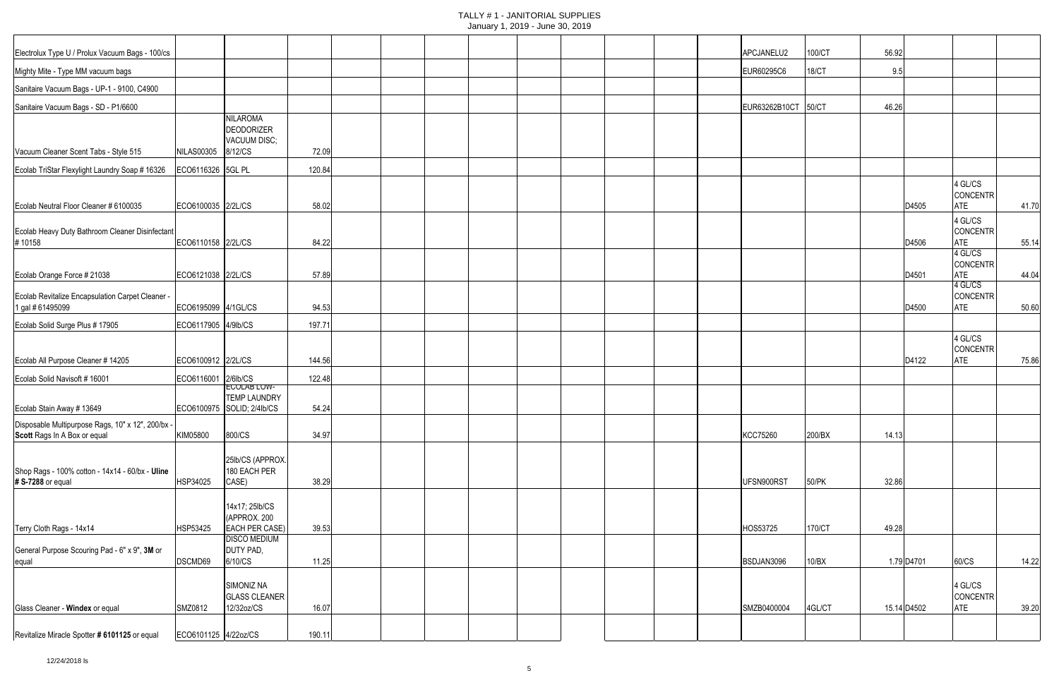| Electrolux Type U / Prolux Vacuum Bags - 100/cs                                   |                      |                                       |        |  |  |  |  | APCJANELU2          | 100/CT       | 56.92 |             |                        |       |
|-----------------------------------------------------------------------------------|----------------------|---------------------------------------|--------|--|--|--|--|---------------------|--------------|-------|-------------|------------------------|-------|
| Mighty Mite - Type MM vacuum bags                                                 |                      |                                       |        |  |  |  |  | EUR60295C6          | <b>18/CT</b> | 9.5   |             |                        |       |
| Sanitaire Vacuum Bags - UP-1 - 9100, C4900                                        |                      |                                       |        |  |  |  |  |                     |              |       |             |                        |       |
| Sanitaire Vacuum Bags - SD - P1/6600                                              |                      |                                       |        |  |  |  |  | EUR63262B10CT 50/CT |              | 46.26 |             |                        |       |
|                                                                                   |                      | <b>NILAROMA</b>                       |        |  |  |  |  |                     |              |       |             |                        |       |
|                                                                                   |                      | DEODORIZER                            |        |  |  |  |  |                     |              |       |             |                        |       |
| Vacuum Cleaner Scent Tabs - Style 515                                             | <b>NILAS00305</b>    | VACUUM DISC;<br>8/12/CS               | 72.09  |  |  |  |  |                     |              |       |             |                        |       |
| Ecolab TriStar Flexylight Laundry Soap # 16326                                    | ECO6116326 5GL PL    |                                       | 120.84 |  |  |  |  |                     |              |       |             |                        |       |
|                                                                                   |                      |                                       |        |  |  |  |  |                     |              |       |             | 4 GL/CS                |       |
| Ecolab Neutral Floor Cleaner # 6100035                                            | ECO6100035 2/2L/CS   |                                       | 58.02  |  |  |  |  |                     |              |       | D4505       | <b>CONCENTR</b><br>ATE | 41.70 |
|                                                                                   |                      |                                       |        |  |  |  |  |                     |              |       |             | 4 GL/CS                |       |
| Ecolab Heavy Duty Bathroom Cleaner Disinfectant                                   |                      |                                       |        |  |  |  |  |                     |              |       |             | CONCENTR               |       |
| #10158                                                                            | ECO6110158 2/2L/CS   |                                       | 84.22  |  |  |  |  |                     |              |       | D4506       | ATE<br>4 GL/CS         | 55.14 |
|                                                                                   |                      |                                       |        |  |  |  |  |                     |              |       |             | <b>CONCENTR</b>        |       |
| Ecolab Orange Force # 21038                                                       | ECO6121038 2/2L/CS   |                                       | 57.89  |  |  |  |  |                     |              |       | D4501       | ATE<br>4 GL/CS         | 44.04 |
| Ecolab Revitalize Encapsulation Carpet Cleaner -                                  |                      |                                       | 94.53  |  |  |  |  |                     |              |       | D4500       | CONCENTR<br><b>ATE</b> |       |
| 1 gal # 61495099                                                                  | ECO6195099 4/1GL/CS  |                                       |        |  |  |  |  |                     |              |       |             |                        | 50.60 |
| Ecolab Solid Surge Plus # 17905                                                   | ECO6117905 4/9lb/CS  |                                       | 197.71 |  |  |  |  |                     |              |       |             | 4 GL/CS                |       |
|                                                                                   |                      |                                       |        |  |  |  |  |                     |              |       |             | <b>CONCENTR</b>        |       |
| Ecolab All Purpose Cleaner # 14205                                                | ECO6100912 2/2L/CS   |                                       | 144.56 |  |  |  |  |                     |              |       | D4122       | ATE                    | 75.86 |
| Ecolab Solid Navisoft # 16001                                                     | ECO6116001 2/6lb/CS  | ECOLAB LOW-                           | 122.48 |  |  |  |  |                     |              |       |             |                        |       |
|                                                                                   |                      | <b>TEMP LAUNDRY</b>                   |        |  |  |  |  |                     |              |       |             |                        |       |
| Ecolab Stain Away # 13649                                                         |                      | ECO6100975 SOLID; 2/4lb/CS            | 54.24  |  |  |  |  |                     |              |       |             |                        |       |
| Disposable Multipurpose Rags, 10" x 12", 200/bx -<br>Scott Rags In A Box or equal | KIM05800             | 800/CS                                | 34.97  |  |  |  |  | <b>KCC75260</b>     | 200/BX       | 14.13 |             |                        |       |
|                                                                                   |                      |                                       |        |  |  |  |  |                     |              |       |             |                        |       |
| Shop Rags - 100% cotton - 14x14 - 60/bx - Uline                                   |                      | 25lb/CS (APPROX.<br>180 EACH PER      |        |  |  |  |  |                     |              |       |             |                        |       |
| # S-7288 or equal                                                                 | HSP34025             | CASE)                                 | 38.29  |  |  |  |  | UFSN900RST          | 50/PK        | 32.86 |             |                        |       |
|                                                                                   |                      | 14x17; 25lb/CS                        |        |  |  |  |  |                     |              |       |             |                        |       |
|                                                                                   |                      | (APPROX. 200                          |        |  |  |  |  |                     |              |       |             |                        |       |
| Terry Cloth Rags - 14x14                                                          | HSP53425             | EACH PER CASE)<br><b>DISCO MEDIUM</b> | 39.53  |  |  |  |  | HOS53725            | 170/CT       | 49.28 |             |                        |       |
| General Purpose Scouring Pad - 6" x 9", 3M or                                     |                      | DUTY PAD,                             |        |  |  |  |  |                     |              |       |             |                        |       |
| equal                                                                             | DSCMD69              | 6/10/CS                               | 11.25  |  |  |  |  | BSDJAN3096          | 10/BX        |       | 1.79 D4701  | 60/CS                  | 14.22 |
|                                                                                   |                      | SIMONIZ NA                            |        |  |  |  |  |                     |              |       |             | 4 GL/CS                |       |
| Glass Cleaner - Windex or equal                                                   | SMZ0812              | <b>GLASS CLEANER</b><br>12/32oz/CS    | 16.07  |  |  |  |  | SMZB0400004         | 4GL/CT       |       | 15.14 D4502 | CONCENTR<br><b>ATE</b> | 39.20 |
|                                                                                   |                      |                                       |        |  |  |  |  |                     |              |       |             |                        |       |
| Revitalize Miracle Spotter # 6101125 or equal                                     | ECO6101125 4/22oz/CS |                                       | 190.11 |  |  |  |  |                     |              |       |             |                        |       |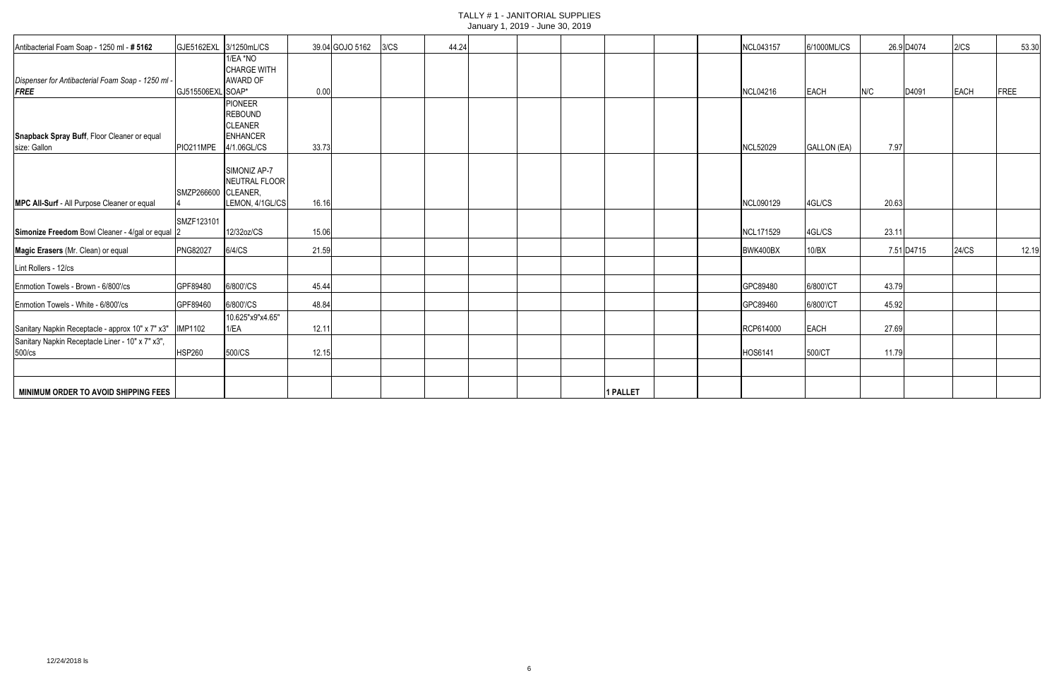| Antibacterial Foam Soap - 1250 ml - # 5162                | GJE5162EXL 3/1250mL/CS |                    |       | 39.04 GOJO 5162 | 3/CS | 44.24 |  |          | <b>NCL043157</b> | 6/1000ML/CS |       | 26.9 D4074 | 2/CS  | 53.30 |
|-----------------------------------------------------------|------------------------|--------------------|-------|-----------------|------|-------|--|----------|------------------|-------------|-------|------------|-------|-------|
|                                                           |                        | 1/EA *NO           |       |                 |      |       |  |          |                  |             |       |            |       |       |
|                                                           |                        | <b>CHARGE WITH</b> |       |                 |      |       |  |          |                  |             |       |            |       |       |
| Dispenser for Antibacterial Foam Soap - 1250 ml           |                        | AWARD OF           |       |                 |      |       |  |          |                  |             |       |            |       |       |
| <b>FREE</b>                                               | GJ515506EXL SOAP*      |                    | 0.00  |                 |      |       |  |          | <b>NCL04216</b>  | EACH        | N/C   | D4091      | EACH  | FREE  |
|                                                           |                        | <b>PIONEER</b>     |       |                 |      |       |  |          |                  |             |       |            |       |       |
|                                                           |                        | <b>REBOUND</b>     |       |                 |      |       |  |          |                  |             |       |            |       |       |
|                                                           |                        | <b>CLEANER</b>     |       |                 |      |       |  |          |                  |             |       |            |       |       |
| Snapback Spray Buff, Floor Cleaner or equal               |                        | ENHANCER           |       |                 |      |       |  |          |                  |             |       |            |       |       |
| size: Gallon                                              | PIO211MPE 4/1.06GL/CS  |                    | 33.73 |                 |      |       |  |          | <b>NCL52029</b>  | GALLON (EA) | 7.97  |            |       |       |
|                                                           |                        | SIMONIZ AP-7       |       |                 |      |       |  |          |                  |             |       |            |       |       |
|                                                           |                        | NEUTRAL FLOOR      |       |                 |      |       |  |          |                  |             |       |            |       |       |
|                                                           | SMZP266600 CLEANER,    |                    |       |                 |      |       |  |          |                  |             |       |            |       |       |
| MPC All-Surf - All Purpose Cleaner or equal               |                        | LEMON, 4/1GL/CS    | 16.16 |                 |      |       |  |          | NCL090129        | 4GL/CS      | 20.63 |            |       |       |
|                                                           |                        |                    |       |                 |      |       |  |          |                  |             |       |            |       |       |
|                                                           | SMZF123101             |                    |       |                 |      |       |  |          |                  |             |       |            |       |       |
| Simonize Freedom Bowl Cleaner - 4/gal or equal 2          |                        | 12/32oz/CS         | 15.06 |                 |      |       |  |          | NCL171529        | 4GL/CS      | 23.1' |            |       |       |
| Magic Erasers (Mr. Clean) or equal                        | <b>PNG82027</b>        | 6/4/CS             | 21.59 |                 |      |       |  |          | BWK400BX         | 10/BX       |       | 7.51 D4715 | 24/CS | 12.19 |
| Lint Rollers - 12/cs                                      |                        |                    |       |                 |      |       |  |          |                  |             |       |            |       |       |
| Enmotion Towels - Brown - 6/800'/cs                       | GPF89480               | 6/800'/CS          | 45.44 |                 |      |       |  |          | GPC89480         | 6/800'/CT   | 43.79 |            |       |       |
| Enmotion Towels - White - 6/800'/cs                       | GPF89460               | 6/800'/CS          | 48.84 |                 |      |       |  |          | GPC89460         | 6/800'/CT   | 45.92 |            |       |       |
|                                                           |                        | 10.625"x9"x4.65"   |       |                 |      |       |  |          |                  |             |       |            |       |       |
| Sanitary Napkin Receptacle - approx 10" x 7" x3"  IMP1102 |                        | 1/EA               | 12.11 |                 |      |       |  |          | RCP614000        | <b>EACH</b> | 27.69 |            |       |       |
| Sanitary Napkin Receptacle Liner - 10" x 7" x3",          |                        |                    |       |                 |      |       |  |          |                  |             |       |            |       |       |
| 500/cs                                                    | <b>HSP260</b>          | 500/CS             | 12.15 |                 |      |       |  |          | HOS6141          | 500/CT      | 11.79 |            |       |       |
|                                                           |                        |                    |       |                 |      |       |  |          |                  |             |       |            |       |       |
| MINIMUM ORDER TO AVOID SHIPPING FEES                      |                        |                    |       |                 |      |       |  | 1 PALLET |                  |             |       |            |       |       |
|                                                           |                        |                    |       |                 |      |       |  |          |                  |             |       |            |       |       |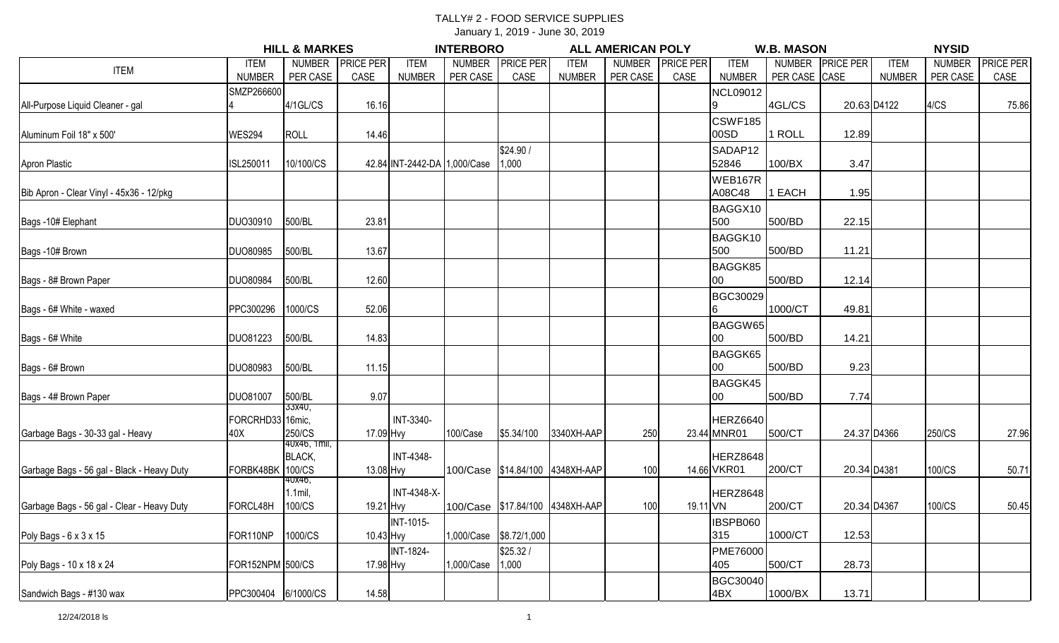### TALLY# 2 - FOOD SERVICE SUPPLIES

January 1, 2019 - June 30, 2019

|                                            |                     | <b>HILL &amp; MARKES</b> |                  |                              | <b>INTERBORO</b> |                  |                                 | <b>ALL AMERICAN POLY</b> |                  |                         | <b>W.B. MASON</b> |                  |               | <b>NYSID</b>  |                  |
|--------------------------------------------|---------------------|--------------------------|------------------|------------------------------|------------------|------------------|---------------------------------|--------------------------|------------------|-------------------------|-------------------|------------------|---------------|---------------|------------------|
| <b>ITEM</b>                                | <b>ITEM</b>         | <b>NUMBER</b>            | <b>PRICE PER</b> | <b>ITEM</b>                  | <b>NUMBER</b>    | <b>PRICE PER</b> | <b>ITEM</b>                     | <b>NUMBER</b>            | <b>PRICE PER</b> | <b>ITEM</b>             | <b>NUMBER</b>     | <b>PRICE PER</b> | <b>ITEM</b>   | <b>NUMBER</b> | <b>PRICE PER</b> |
|                                            | <b>NUMBER</b>       | PER CASE                 | CASE             | <b>NUMBER</b>                | PER CASE         | CASE             | <b>NUMBER</b>                   | PER CASE                 | CASE             | <b>NUMBER</b>           | PER CASE CASE     |                  | <b>NUMBER</b> | PER CASE      | CASE             |
|                                            | SMZP266600          |                          |                  |                              |                  |                  |                                 |                          |                  | <b>NCL09012</b>         |                   |                  |               |               |                  |
| All-Purpose Liquid Cleaner - gal           |                     | $4/1$ GL/CS              | 16.16            |                              |                  |                  |                                 |                          |                  |                         | 4GL/CS            |                  | 20.63 D4122   | 4/CS          | 75.86            |
|                                            |                     |                          |                  |                              |                  |                  |                                 |                          |                  | CSWF185                 |                   |                  |               |               |                  |
| Aluminum Foil 18" x 500'                   | <b>WES294</b>       | <b>ROLL</b>              | 14.46            |                              |                  |                  |                                 |                          |                  | 00SD                    | 1 ROLL            | 12.89            |               |               |                  |
|                                            |                     |                          |                  |                              |                  | \$24.90 /        |                                 |                          |                  | SADAP12                 |                   |                  |               |               |                  |
| Apron Plastic                              | ISL250011           | 10/100/CS                |                  | 42.84 INT-2442-DA 1,000/Case |                  | 1,000            |                                 |                          |                  | 52846                   | 100/BX            | 3.47             |               |               |                  |
|                                            |                     |                          |                  |                              |                  |                  |                                 |                          |                  | WEB167R                 |                   |                  |               |               |                  |
| Bib Apron - Clear Vinyl - 45x36 - 12/pkg   |                     |                          |                  |                              |                  |                  |                                 |                          |                  | A08C48                  | EACH              | 1.95             |               |               |                  |
|                                            |                     |                          |                  |                              |                  |                  |                                 |                          |                  | BAGGX10                 |                   |                  |               |               |                  |
| Bags -10# Elephant                         | <b>DUO30910</b>     | 500/BL                   | 23.81            |                              |                  |                  |                                 |                          |                  | 500                     | 500/BD            | 22.15            |               |               |                  |
|                                            |                     |                          |                  |                              |                  |                  |                                 |                          |                  | BAGGK10                 |                   |                  |               |               |                  |
| Bags -10# Brown                            | <b>DUO80985</b>     | 500/BL                   | 13.67            |                              |                  |                  |                                 |                          |                  | 500                     | 500/BD            | 11.21            |               |               |                  |
|                                            |                     |                          |                  |                              |                  |                  |                                 |                          |                  |                         |                   |                  |               |               |                  |
| Bags - 8# Brown Paper                      | <b>DUO80984</b>     | 500/BL                   | 12.60            |                              |                  |                  |                                 |                          |                  | BAGGK85<br>$00\,$       | 500/BD            | 12.14            |               |               |                  |
|                                            |                     |                          |                  |                              |                  |                  |                                 |                          |                  |                         |                   |                  |               |               |                  |
|                                            |                     |                          |                  |                              |                  |                  |                                 |                          |                  | BGC30029                |                   |                  |               |               |                  |
| Bags - 6# White - waxed                    | PPC300296           | 1000/CS                  | 52.06            |                              |                  |                  |                                 |                          |                  | 6                       | 1000/CT           | 49.81            |               |               |                  |
|                                            |                     |                          |                  |                              |                  |                  |                                 |                          |                  | BAGGW65                 |                   |                  |               |               |                  |
| Bags - 6# White                            | DU081223            | 500/BL                   | 14.83            |                              |                  |                  |                                 |                          |                  | 00                      | 500/BD            | 14.21            |               |               |                  |
|                                            |                     |                          |                  |                              |                  |                  |                                 |                          |                  | BAGGK65                 |                   |                  |               |               |                  |
| Bags - 6# Brown                            | <b>DUO80983</b>     | 500/BL                   | 11.15            |                              |                  |                  |                                 |                          |                  | 00                      | 500/BD            | 9.23             |               |               |                  |
|                                            |                     |                          |                  |                              |                  |                  |                                 |                          |                  | BAGGK45                 |                   |                  |               |               |                  |
| Bags - 4# Brown Paper                      | <b>DUO81007</b>     | 500/BL                   | 9.07             |                              |                  |                  |                                 |                          |                  | 00                      | 500/BD            | 7.74             |               |               |                  |
|                                            |                     | 33x40,                   |                  |                              |                  |                  |                                 |                          |                  |                         |                   |                  |               |               |                  |
|                                            | FORCRHD33 16mic,    | 250/CS                   |                  | INT-3340-                    | 100/Case         | \$5.34/100       | 3340XH-AAP                      | 250                      |                  | HERZ6640<br>23.44 MNR01 | 500/CT            |                  | 24.37 D4366   | 250/CS        | 27.96            |
| Garbage Bags - 30-33 gal - Heavy           | 40X                 | 40x46, 1mil,             | 17.09 Hvy        |                              |                  |                  |                                 |                          |                  |                         |                   |                  |               |               |                  |
|                                            |                     | <b>BLACK,</b>            |                  | <b>INT-4348-</b>             |                  |                  |                                 |                          |                  | HERZ8648                |                   |                  |               |               |                  |
| Garbage Bags - 56 gal - Black - Heavy Duty | FORBK48BK           | 100/CS                   | 13.08 Hvy        |                              |                  |                  | 100/Case \$14.84/100 4348XH-AAP | 100                      |                  | 14.66 VKR01             | 200/CT            | 20.34 D4381      |               | 100/CS        | 50.71            |
|                                            |                     | 40x46,                   |                  |                              |                  |                  |                                 |                          |                  |                         |                   |                  |               |               |                  |
|                                            |                     | $1.1$ mil                |                  | INT-4348-X-                  |                  |                  |                                 |                          |                  | HERZ8648                |                   |                  |               |               |                  |
| Garbage Bags - 56 gal - Clear - Heavy Duty | FORCL48H            | 100/CS                   | 19.21 Hvy        |                              |                  |                  | 100/Case \$17.84/100 4348XH-AAP | 100                      | 19.11 VN         |                         | 200/CT            | 20.34 D4367      |               | 100/CS        | 50.45            |
|                                            |                     |                          |                  | <b>INT-1015-</b>             |                  |                  |                                 |                          |                  | IBSPB060                |                   |                  |               |               |                  |
| Poly Bags - 6 x 3 x 15                     | FOR110NP            | 1000/CS                  | 10.43 Hvy        |                              | 1,000/Case       | \$8.72/1,000     |                                 |                          |                  | 315                     | 1000/CT           | 12.53            |               |               |                  |
|                                            |                     |                          |                  | <b>INT-1824-</b>             |                  | \$25.32/         |                                 |                          |                  | <b>PME76000</b>         |                   |                  |               |               |                  |
| Poly Bags - 10 x 18 x 24                   | FOR152NPM 500/CS    |                          | 17.98 Hvy        |                              | 1,000/Case       | 1,000            |                                 |                          |                  | 405                     | 500/CT            | 28.73            |               |               |                  |
|                                            |                     |                          |                  |                              |                  |                  |                                 |                          |                  | <b>BGC30040</b>         |                   |                  |               |               |                  |
| Sandwich Bags - #130 wax                   | PPC300404 6/1000/CS |                          | 14.58            |                              |                  |                  |                                 |                          |                  | 4BX                     | 1000/BX           | 13.71            |               |               |                  |

12/24/2018 ls 1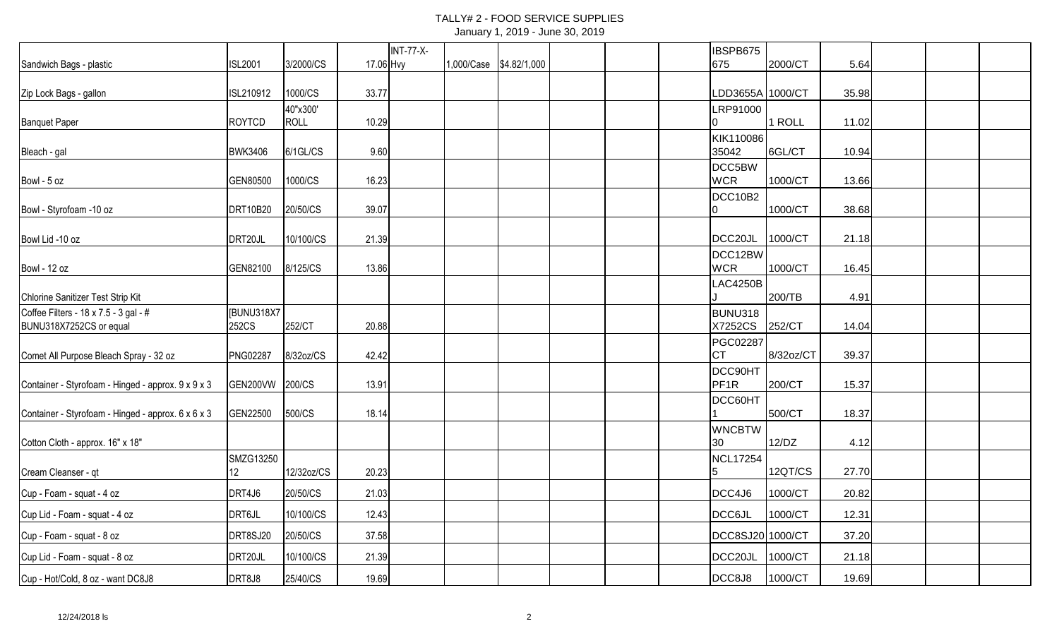### TALLY# 2 - FOOD SERVICE SUPPLIES January 1, 2019 - June 30, 2019

|                                                                  |                              |             |           | <b>INT-77-X-</b> |            |              |  | IBSPB675                     |           |       |  |  |
|------------------------------------------------------------------|------------------------------|-------------|-----------|------------------|------------|--------------|--|------------------------------|-----------|-------|--|--|
| Sandwich Bags - plastic                                          | <b>ISL2001</b>               | 3/2000/CS   | 17.06 Hvy |                  | 1,000/Case | \$4.82/1,000 |  | 675                          | 2000/CT   | 5.64  |  |  |
| Zip Lock Bags - gallon                                           | ISL210912                    | 1000/CS     | 33.77     |                  |            |              |  | LDD3655A 1000/CT             |           | 35.98 |  |  |
|                                                                  |                              | 40"x300'    |           |                  |            |              |  | LRP91000                     |           |       |  |  |
| <b>Banquet Paper</b>                                             | <b>ROYTCD</b>                | <b>ROLL</b> | 10.29     |                  |            |              |  |                              | 1 ROLL    | 11.02 |  |  |
| Bleach - gal                                                     | <b>BWK3406</b>               | 6/1GL/CS    | 9.60      |                  |            |              |  | KIK110086<br>35042           | 6GL/CT    | 10.94 |  |  |
| Bowl - 5 oz                                                      | GEN80500                     | 1000/CS     | 16.23     |                  |            |              |  | DCC5BW<br><b>WCR</b>         | 1000/CT   | 13.66 |  |  |
| Bowl - Styrofoam -10 oz                                          | DRT10B20                     | 20/50/CS    | 39.07     |                  |            |              |  | DCC10B2<br>10                | 1000/CT   | 38.68 |  |  |
| Bowl Lid -10 oz                                                  | DRT20JL                      | 10/100/CS   | 21.39     |                  |            |              |  | DCC20JL                      | 1000/CT   | 21.18 |  |  |
| Bowl - 12 oz                                                     | GEN82100                     | 8/125/CS    | 13.86     |                  |            |              |  | DCC12BW<br><b>WCR</b>        | 1000/CT   | 16.45 |  |  |
| Chlorine Sanitizer Test Strip Kit                                |                              |             |           |                  |            |              |  | <b>LAC4250B</b>              | 200/TB    | 4.91  |  |  |
| Coffee Filters - 18 x 7.5 - 3 gal - #<br>BUNU318X7252CS or equal | [BUNU318X7<br>252CS          | 252/CT      | 20.88     |                  |            |              |  | BUNU318<br>X7252CS           | 252/CT    | 14.04 |  |  |
| Comet All Purpose Bleach Spray - 32 oz                           | <b>PNG02287</b>              | 8/32oz/CS   | 42.42     |                  |            |              |  | <b>PGC02287</b><br><b>CT</b> | 8/32oz/CT | 39.37 |  |  |
| Container - Styrofoam - Hinged - approx. 9 x 9 x 3               | GEN200VW                     | 200/CS      | 13.91     |                  |            |              |  | DCC90HT<br>PF <sub>1R</sub>  | 200/CT    | 15.37 |  |  |
| Container - Styrofoam - Hinged - approx. 6 x 6 x 3               | GEN22500                     | 500/CS      | 18.14     |                  |            |              |  | DCC60HT                      | 500/CT    | 18.37 |  |  |
| Cotton Cloth - approx. 16" x 18"                                 |                              |             |           |                  |            |              |  | <b>WNCBTW</b><br>30          | 12/DZ     | 4.12  |  |  |
| Cream Cleanser - qt                                              | SMZG13250<br>12 <sup>°</sup> | 12/32oz/CS  | 20.23     |                  |            |              |  | <b>NCL17254</b>              | 12QT/CS   | 27.70 |  |  |
| Cup - Foam - squat - 4 oz                                        | DRT4J6                       | 20/50/CS    | 21.03     |                  |            |              |  | DCC4J6                       | 1000/CT   | 20.82 |  |  |
| Cup Lid - Foam - squat - 4 oz                                    | DRT6JL                       | 10/100/CS   | 12.43     |                  |            |              |  | <b>DCC6JL</b>                | 1000/CT   | 12.31 |  |  |
| Cup - Foam - squat - 8 oz                                        | DRT8SJ20                     | 20/50/CS    | 37.58     |                  |            |              |  | DCC8SJ20 1000/CT             |           | 37.20 |  |  |
| Cup Lid - Foam - squat - 8 oz                                    | DRT20JL                      | 10/100/CS   | 21.39     |                  |            |              |  | DCC <sub>20JL</sub>          | 1000/CT   | 21.18 |  |  |
| Cup - Hot/Cold, 8 oz - want DC8J8                                | DRT8J8                       | 25/40/CS    | 19.69     |                  |            |              |  | DCC8J8                       | 1000/CT   | 19.69 |  |  |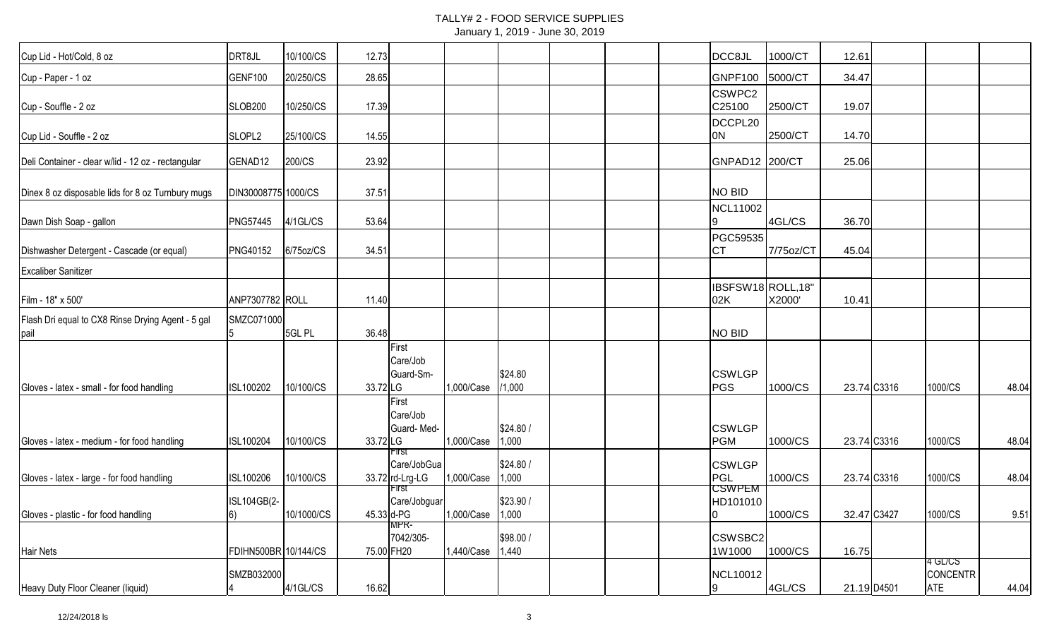### TALLY# 2 - FOOD SERVICE SUPPLIES January 1, 2019 - June 30, 2019

| Cup Lid - Hot/Cold, 8 oz                                   | DRT8JL               | 10/100/CS  | 12.73    |                                                  |                  |                   |  | DCC8JL                                | 1000/CT   | 12.61       |                                          |       |
|------------------------------------------------------------|----------------------|------------|----------|--------------------------------------------------|------------------|-------------------|--|---------------------------------------|-----------|-------------|------------------------------------------|-------|
| Cup - Paper - 1 oz                                         | GENF100              | 20/250/CS  | 28.65    |                                                  |                  |                   |  | GNPF100                               | 5000/CT   | 34.47       |                                          |       |
| Cup - Souffle - 2 oz                                       | <b>SLOB200</b>       | 10/250/CS  | 17.39    |                                                  |                  |                   |  | CSWPC <sub>2</sub><br>C25100          | 2500/CT   | 19.07       |                                          |       |
| Cup Lid - Souffle - 2 oz                                   | SLOPL <sub>2</sub>   | 25/100/CS  | 14.55    |                                                  |                  |                   |  | DCCPL20<br>ON                         | 2500/CT   | 14.70       |                                          |       |
| Deli Container - clear w/lid - 12 oz - rectangular         | GENAD12              | 200/CS     | 23.92    |                                                  |                  |                   |  | GNPAD12 200/CT                        |           | 25.06       |                                          |       |
| Dinex 8 oz disposable lids for 8 oz Turnbury mugs          | DIN30008775 1000/CS  |            | 37.51    |                                                  |                  |                   |  | NO BID                                |           |             |                                          |       |
| Dawn Dish Soap - gallon                                    | <b>PNG57445</b>      | 4/1GL/CS   | 53.64    |                                                  |                  |                   |  | NCL11002                              | 4GL/CS    | 36.70       |                                          |       |
| Dishwasher Detergent - Cascade (or equal)                  | <b>PNG40152</b>      | 6/75oz/CS  | 34.51    |                                                  |                  |                   |  | PGC59535<br><b>ICT</b>                | 7/75oz/CT | 45.04       |                                          |       |
| <b>Excaliber Sanitizer</b>                                 |                      |            |          |                                                  |                  |                   |  |                                       |           |             |                                          |       |
| Film - 18" x 500'                                          | ANP7307782 ROLL      |            | 11.40    |                                                  |                  |                   |  | IBSFSW18ROLL,18"<br>02K               | X2000'    | 10.41       |                                          |       |
| Flash Dri equal to CX8 Rinse Drying Agent - 5 gal<br> pail | SMZC071000           | 5GL PL     | 36.48    |                                                  |                  |                   |  | NO BID                                |           |             |                                          |       |
| Gloves - latex - small - for food handling                 | ISL100202            | 10/100/CS  | 33.72 LG | First<br>Care/Job<br>Guard-Sm-                   | 1,000/Case       | \$24.80<br>/1,000 |  | <b>CSWLGP</b><br>PGS                  | 1000/CS   | 23.74 C3316 | 1000/CS                                  | 48.04 |
| Gloves - latex - medium - for food handling                | ISL100204            | 10/100/CS  | 33.72 LG | First<br>Care/Job<br>Guard-Med-                  | 1,000/Case       | \$24.80/<br>1,000 |  | <b>CSWLGP</b><br><b>PGM</b>           | 1000/CS   | 23.74 C3316 | 1000/CS                                  | 48.04 |
| Gloves - latex - large - for food handling                 | ISL100206            | 10/100/CS  |          | ⊦ırst<br>Care/JobGua<br>33.72 rd-Lrg-LG<br>-irst | 1,000/Case       | \$24.80/<br>1,000 |  | <b>CSWLGP</b><br>PGL<br><b>CSWPEM</b> | 1000/CS   | 23.74 C3316 | 1000/CS                                  | 48.04 |
| Gloves - plastic - for food handling                       | ISL104GB(2-<br>6)    | 10/1000/CS |          | Care/Jobguar<br>45.33 d-PG<br>MPR-               | 1,000/Case 1,000 | \$23.90 /         |  | HD101010<br>$\overline{0}$            | 1000/CS   | 32.47 C3427 | 1000/CS                                  | 9.51  |
| Hair Nets                                                  | FDIHN500BR 10/144/CS |            |          | 7042/305-<br>75.00 FH20                          | 1,440/Case 1,440 | \$98.00 /         |  | CSWSBC <sub>2</sub><br>1W1000         | 1000/CS   | 16.75       |                                          |       |
| Heavy Duty Floor Cleaner (liquid)                          | SMZB032000           | 4/1GL/CS   | 16.62    |                                                  |                  |                   |  | NCL10012<br>9                         | 4GL/CS    | 21.19 D4501 | 4 GL/CS<br><b>CONCENTR</b><br><b>ATE</b> | 44.04 |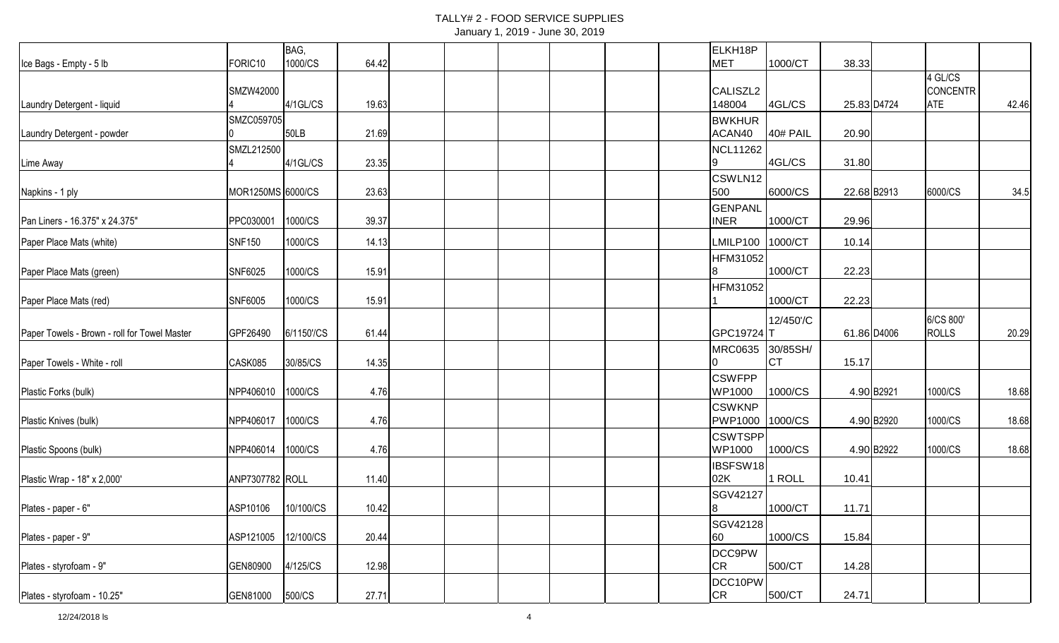## TALLY# 2 - FOOD SERVICE SUPPLIES

| January 1, 2019 - June 30, 2019 |  |  |  |
|---------------------------------|--|--|--|
|---------------------------------|--|--|--|

12"x21", 10lb

|                                              |                     | BAG,        |       |  |  |  | ELKH18P                         |           |             |            |                     |       |
|----------------------------------------------|---------------------|-------------|-------|--|--|--|---------------------------------|-----------|-------------|------------|---------------------|-------|
| Ice Bags - Empty - 5 lb                      | FORIC <sub>10</sub> | 1000/CS     | 64.42 |  |  |  | MET                             | 1000/CT   | 38.33       |            |                     |       |
|                                              | SMZW42000           |             |       |  |  |  | CALISZL2                        |           |             |            | 4 GL/CS<br>CONCENTR |       |
| Laundry Detergent - liquid                   |                     | $4/1$ GL/CS | 19.63 |  |  |  | 148004                          | 4GL/CS    | 25.83 D4724 |            | <b>ATE</b>          | 42.46 |
|                                              | SMZC059705          |             |       |  |  |  | <b>BWKHUR</b>                   |           |             |            |                     |       |
| Laundry Detergent - powder                   |                     | <b>50LB</b> | 21.69 |  |  |  | ACAN40                          | 40# PAIL  | 20.90       |            |                     |       |
|                                              | SMZL212500          |             |       |  |  |  | <b>NCL11262</b>                 |           |             |            |                     |       |
| Lime Away                                    |                     | $4/1$ GL/CS | 23.35 |  |  |  |                                 | 4GL/CS    | 31.80       |            |                     |       |
| Napkins - 1 ply                              | MOR1250MS 6000/CS   |             | 23.63 |  |  |  | CSWLN12<br>500                  | 6000/CS   | 22.68B2913  |            | 6000/CS             | 34.5  |
|                                              |                     |             |       |  |  |  | <b>GENPANL</b>                  |           |             |            |                     |       |
| Pan Liners - 16.375" x 24.375"               | PPC030001           | 1000/CS     | 39.37 |  |  |  | <b>INER</b>                     | 1000/CT   | 29.96       |            |                     |       |
| Paper Place Mats (white)                     | <b>SNF150</b>       | 1000/CS     | 14.13 |  |  |  | LMILP100                        | 1000/CT   | 10.14       |            |                     |       |
|                                              |                     |             |       |  |  |  | <b>HFM31052</b>                 |           |             |            |                     |       |
| Paper Place Mats (green)                     | SNF6025             | 1000/CS     | 15.91 |  |  |  |                                 | 1000/CT   | 22.23       |            |                     |       |
|                                              |                     |             |       |  |  |  | <b>HFM31052</b>                 |           |             |            |                     |       |
| Paper Place Mats (red)                       | <b>SNF6005</b>      | 1000/CS     | 15.91 |  |  |  |                                 | 1000/CT   | 22.23       |            |                     |       |
|                                              |                     |             |       |  |  |  |                                 | 12/450'/C |             |            | 6/CS 800'           |       |
| Paper Towels - Brown - roll for Towel Master | GPF26490            | 6/1150'/CS  | 61.44 |  |  |  | GPC19724 T                      |           | 61.86 D4006 |            | <b>ROLLS</b>        | 20.29 |
|                                              |                     |             |       |  |  |  | <b>MRC0635</b>                  | 30/85SH/  |             |            |                     |       |
| Paper Towels - White - roll                  | CASK085             | 30/85/CS    | 14.35 |  |  |  | IO.                             | <b>CT</b> | 15.17       |            |                     |       |
|                                              |                     |             |       |  |  |  | <b>CSWFPP</b>                   |           |             |            |                     |       |
| Plastic Forks (bulk)                         | NPP406010           | 1000/CS     | 4.76  |  |  |  | <b>WP1000</b>                   | 1000/CS   |             | 4.90 B2921 | 1000/CS             | 18.68 |
| Plastic Knives (bulk)                        | NPP406017           | 1000/CS     | 4.76  |  |  |  | <b>CSWKNP</b><br><b>PWP1000</b> | 1000/CS   |             | 4.90 B2920 | 1000/CS             | 18.68 |
|                                              |                     |             |       |  |  |  | <b>CSWTSPP</b>                  |           |             |            |                     |       |
| Plastic Spoons (bulk)                        | NPP406014           | 1000/CS     | 4.76  |  |  |  | <b>WP1000</b>                   | 1000/CS   |             | 4.90 B2922 | 1000/CS             | 18.68 |
|                                              |                     |             |       |  |  |  | IBSFSW18                        |           |             |            |                     |       |
| Plastic Wrap - 18" x 2,000'                  | ANP7307782 ROLL     |             | 11.40 |  |  |  | 02K                             | 1 ROLL    | 10.41       |            |                     |       |
|                                              |                     |             |       |  |  |  | SGV42127                        |           |             |            |                     |       |
| Plates - paper - 6"                          | ASP10106            | 10/100/CS   | 10.42 |  |  |  | 8                               | 1000/CT   | 11.71       |            |                     |       |
|                                              |                     |             |       |  |  |  | SGV42128                        |           |             |            |                     |       |
| Plates - paper - 9"                          | ASP121005           | 12/100/CS   | 20.44 |  |  |  | 60                              | 1000/CS   | 15.84       |            |                     |       |
|                                              |                     |             |       |  |  |  | DCC9PW                          |           |             |            |                     |       |
| Plates - styrofoam - 9"                      | GEN80900            | 4/125/CS    | 12.98 |  |  |  | <b>CR</b>                       | 500/CT    | 14.28       |            |                     |       |
|                                              |                     |             |       |  |  |  | DCC10PW                         |           |             |            |                     |       |
| Plates - styrofoam - 10.25"                  | GEN81000            | 500/CS      | 27.71 |  |  |  | CR <sub>.</sub>                 | 500/CT    | 24.71       |            |                     |       |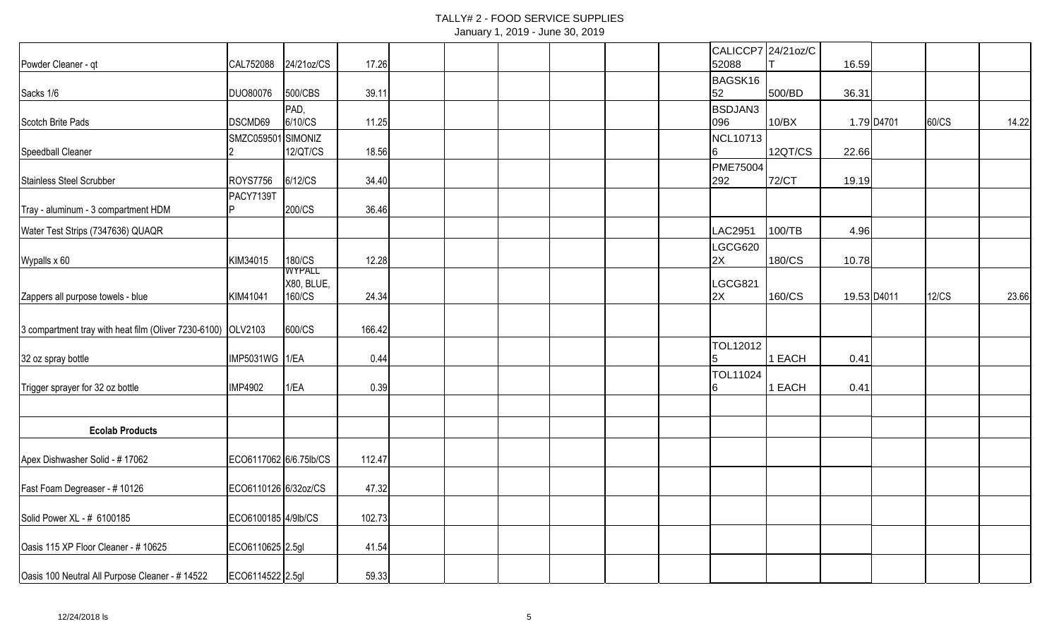# TALLY# 2 - FOOD SERVICE SUPPLIES

|  |  | January 1, 2019 - June 30, 2019 |  |
|--|--|---------------------------------|--|
|--|--|---------------------------------|--|

|                                                              |                        |                  |        |  |  |  | CALICCP7 24/21oz/C    |         |             |            |              |       |
|--------------------------------------------------------------|------------------------|------------------|--------|--|--|--|-----------------------|---------|-------------|------------|--------------|-------|
| Powder Cleaner - qt                                          | CAL752088              | 24/21oz/CS       | 17.26  |  |  |  | 52088                 |         | 16.59       |            |              |       |
|                                                              |                        |                  |        |  |  |  | BAGSK16               |         |             |            |              |       |
| Sacks 1/6                                                    | <b>DUO80076</b>        | 500/CBS          | 39.11  |  |  |  | 52                    | 500/BD  | 36.31       |            |              |       |
| Scotch Brite Pads                                            | DSCMD69                | PAD,<br>6/10/CS  | 11.25  |  |  |  | <b>BSDJAN3</b><br>096 | 10/BX   |             | 1.79 D4701 | 60/CS        | 14.22 |
|                                                              | SMZC059501             | SIMONIZ          |        |  |  |  | NCL10713              |         |             |            |              |       |
| Speedball Cleaner                                            |                        | 12/QT/CS         | 18.56  |  |  |  | 16                    | 12QT/CS | 22.66       |            |              |       |
|                                                              |                        |                  |        |  |  |  | <b>PME75004</b>       |         |             |            |              |       |
| Stainless Steel Scrubber                                     | <b>ROYS7756</b>        | 6/12/CS          | 34.40  |  |  |  | 292                   | 72/CT   | 19.19       |            |              |       |
| Tray - aluminum - 3 compartment HDM                          | PACY7139T              | 200/CS           | 36.46  |  |  |  |                       |         |             |            |              |       |
|                                                              |                        |                  |        |  |  |  |                       |         |             |            |              |       |
| Water Test Strips (7347636) QUAQR                            |                        |                  |        |  |  |  | LAC2951               | 100/TB  | 4.96        |            |              |       |
| Wypalls x 60                                                 | KIM34015               |                  | 12.28  |  |  |  | LGCG620<br>2X         | 180/CS  | 10.78       |            |              |       |
|                                                              |                        | 180/CS<br>WYPALL |        |  |  |  |                       |         |             |            |              |       |
|                                                              |                        | X80, BLUE,       |        |  |  |  | LGCG821               |         |             |            |              |       |
| Zappers all purpose towels - blue                            | KIM41041               | 160/CS           | 24.34  |  |  |  | 2X                    | 160/CS  | 19.53 D4011 |            | <b>12/CS</b> | 23.66 |
|                                                              |                        |                  |        |  |  |  |                       |         |             |            |              |       |
| 3 compartment tray with heat film (Oliver 7230-6100) OLV2103 |                        | 600/CS           | 166.42 |  |  |  |                       |         |             |            |              |       |
| 32 oz spray bottle                                           | IMP5031WG 1/EA         |                  | 0.44   |  |  |  | <b>TOL12012</b><br>15 | 1 EACH  | 0.41        |            |              |       |
|                                                              |                        |                  |        |  |  |  | TOL11024              |         |             |            |              |       |
| Trigger sprayer for 32 oz bottle                             | IMP4902                | 1/EA             | 0.39   |  |  |  | 16                    | 1 EACH  | 0.41        |            |              |       |
|                                                              |                        |                  |        |  |  |  |                       |         |             |            |              |       |
| <b>Ecolab Products</b>                                       |                        |                  |        |  |  |  |                       |         |             |            |              |       |
|                                                              |                        |                  |        |  |  |  |                       |         |             |            |              |       |
| Apex Dishwasher Solid - #17062                               | ECO6117062 6/6.75lb/CS |                  | 112.47 |  |  |  |                       |         |             |            |              |       |
|                                                              |                        |                  |        |  |  |  |                       |         |             |            |              |       |
| Fast Foam Degreaser - #10126                                 | ECO6110126 6/32oz/CS   |                  | 47.32  |  |  |  |                       |         |             |            |              |       |
| Solid Power XL - # 6100185                                   | ECO6100185 4/9lb/CS    |                  | 102.73 |  |  |  |                       |         |             |            |              |       |
|                                                              |                        |                  |        |  |  |  |                       |         |             |            |              |       |
| Oasis 115 XP Floor Cleaner - #10625                          | ECO6110625 2.5gl       |                  | 41.54  |  |  |  |                       |         |             |            |              |       |
| Oasis 100 Neutral All Purpose Cleaner - # 14522              | ECO6114522 2.5gl       |                  | 59.33  |  |  |  |                       |         |             |            |              |       |